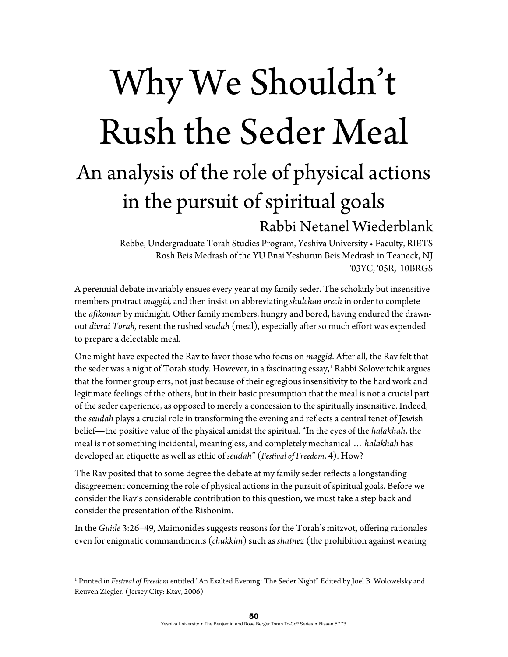# Why We Shouldn't Rush the Seder Meal An analysis of the role of physical actions in the pursuit of spiritual goals Rabbi Netanel Wiederblank

Rebbe, Undergraduate Torah Studies Program, Yeshiva University • Faculty, RIETS Rosh Beis Medrash of the YU Bnai Yeshurun Beis Medrash in Teaneck, NJ '03YC, '05R, '10BRGS

A perennial debate invariably ensues every year at my family seder. The scholarly but insensitive members protract *maggid,* and then insist on abbreviating *shulchan orech* in order to complete the *afikomen* by midnight. Other family members, hungry and bored, having endured the drawnout *divrai Torah,* resent the rushed *seudah* (meal), especially after so much effort was expended to prepare a delectable meal.

One might have expected the Rav to favor those who focus on *maggid*. After all, the Rav felt that the seder was a night of Torah study. However, in a fascinating essay, $^1$  Rabbi Soloveitchik argues that the former group errs, not just because of their egregious insensitivity to the hard work and legitimate feelings of the others, but in their basic presumption that the meal is not a crucial part of the seder experience, as opposed to merely a concession to the spiritually insensitive. Indeed, the *seudah* plays a crucial role in transforming the evening and reflects a central tenet of Jewish belief—the positive value of the physical amidst the spiritual. "In the eyes of the *halakhah*, the meal is not something incidental, meaningless, and completely mechanical … *halakhah* has developed an etiquette as well as ethic of *seudah*" (*Festival of Freedom*, 4). How?

The Rav posited that to some degree the debate at my family seder reflects a longstanding disagreement concerning the role of physical actions in the pursuit of spiritual goals. Before we consider the Rav's considerable contribution to this question, we must take a step back and consider the presentation of the Rishonim.

In the *Guide* 3:26–49, Maimonides suggests reasons for the Torah's mitzvot, offering rationales even for enigmatic commandments (*chukkim*) such as *shatnez* (the prohibition against wearing

<sup>1</sup> Printed in *Festival of Freedom* entitled "An Exalted Evening: The Seder Night" Edited by Joel B. Wolowelsky and Reuven Ziegler. (Jersey City: Ktav, 2006)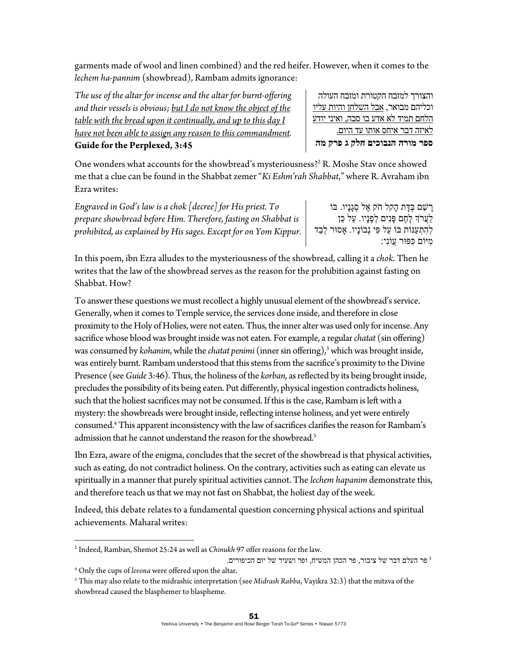garments made of wool and linen combined) and the red heifer. However, when it comes to the *lechem ha-pannim* (showbread), Rambam admits ignorance:

*The use of the altar for incense and the altar for burnt-offering and their vessels is obvious; but I do not know the object of the table with the bread upon it continually, and up to this day I have not been able to assign any reason to this commandment.*  **Guide for the Perplexed, 3:45** 

והצורך למזבח הקטורת ומזבח העולה וכליהם מבואר, אבל השלחן והיות עליו הלחם תמיד לא אדע בו סבה, ואיני יודע לאיזה דבר איחס אותו עד היום. **ספר מורה הנבוכים חלק ג פרק מה**

One wonders what accounts for the showbread's mysteriousness?2 R. Moshe Stav once showed me that a clue can be found in the Shabbat zemer "*Ki Eshm'rah Shabbat*," where R. Avraham ibn Ezra writes:

*Engraved in God's law is a chok [decree] for His priest. To prepare showbread before Him. Therefore, fasting on Shabbat is prohibited, as explained by His sages. Except for on Yom Kippur.*

ָר ַשׁם ְבּ ָדּת ָהקל חֹק ֶאל ְסגָנָיו. בּוֹ ַלְעֲרֹךְ לֶחֶם פָּנִים לְפָנָיו. עַל כֵּן ְל ִה ְת ַענּוֹת בּוֹ ַעל ִפּי נְבוֹנָיו. אָסוּר ְל ַבד ִמיּוֹם ִכּפּוּר ֲעוֹנִי:

In this poem, ibn Ezra alludes to the mysteriousness of the showbread, calling it a *chok*. Then he writes that the law of the showbread serves as the reason for the prohibition against fasting on Shabbat. How?

To answer these questions we must recollect a highly unusual element of the showbread's service. Generally, when it comes to Temple service, the services done inside, and therefore in close proximity to the Holy of Holies, were not eaten. Thus, the inner alter was used only for incense. Any sacrifice whose blood was brought inside was not eaten. For example, a regular *chatat* (sin offering) was consumed by *kohanim*, while the *chatat penimi* (inner sin offering),3 which was brought inside, was entirely burnt. Rambam understood that this stems from the sacrifice's proximity to the Divine Presence (see *Guide* 3:46). Thus, the holiness of the *korban*, as reflected by its being brought inside, precludes the possibility of its being eaten. Put differently, physical ingestion contradicts holiness, such that the holiest sacrifices may not be consumed. If this is the case, Rambam is left with a mystery: the showbreads were brought inside, reflecting intense holiness, and yet were entirely consumed.4 This apparent inconsistency with the law of sacrifices clarifies the reason for Rambam's admission that he cannot understand the reason for the showbread.<sup>5</sup>

Ibn Ezra, aware of the enigma, concludes that the secret of the showbread is that physical activities, such as eating, do not contradict holiness. On the contrary, activities such as eating can elevate us spiritually in a manner that purely spiritual activities cannot. The *lechem hapanim* demonstrate this, and therefore teach us that we may not fast on Shabbat, the holiest day of the week.

Indeed, this debate relates to a fundamental question concerning physical actions and spiritual achievements. Maharal writes:

<sup>&</sup>lt;sup>2</sup> Indeed, Ramban, Shemot 25:24 as well as *Chinukh* 97 offer reasons for the law.

<sup>4</sup> פר העלם דבר של ציבור, פר הכהן המשיח, ופר ושעיר של יום הכיפורים. 3 .law the for reasons offer 97 *Chinukh* as well as 25:24 Shemot ,Ramban ,Indeed

<sup>&</sup>lt;sup>4</sup> Only the cups of *levona* were offered upon the altar.

This may also relate to the midrashic interpretation (see *Midrash Rabba*, Vayikra 32:3) that the mitzva of the showbread caused the blasphemer to blaspheme.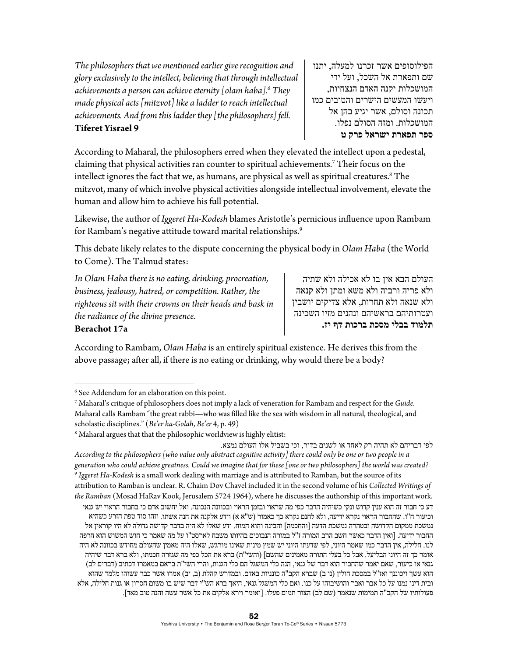*The philosophers that we mentioned earlier give recognition and glory exclusively to the intellect, believing that through intellectual achievements a person can achieve eternity [olam haba].6 They made physical acts [mitzvot] like a ladder to reach intellectual achievements. And from this ladder they [the philosophers] fell.*  **Tiferet Yisrael 9**

הפילוסופים אשר זכרנו למעלה, יתנו שם ותפארת אל השכל, ועל ידי המושכלות יקנה האדם הנצחיות, ויעשו המעשים הישרים והטובים כמו תכונה וסולם, אשר יגיע בהן אל המושכלות. ומזה הסולם נפלו. **ספר תפארת ישראל פרק ט** 

According to Maharal, the philosophers erred when they elevated the intellect upon a pedestal, claiming that physical activities ran counter to spiritual achievements.7 Their focus on the intellect ignores the fact that we, as humans, are physical as well as spiritual creatures. $^{\mathrm{s}}$  The mitzvot, many of which involve physical activities alongside intellectual involvement, elevate the human and allow him to achieve his full potential.

Likewise, the author of *Iggeret Ha-Kodesh* blames Aristotle's pernicious influence upon Rambam for Rambam's negative attitude toward marital relationships.9

This debate likely relates to the dispute concerning the physical body in *Olam Haba* (the World to Come). The Talmud states:

*In Olam Haba there is no eating, drinking, procreation, business, jealousy, hatred, or competition. Rather, the righteous sit with their crowns on their heads and bask in the radiance of the divine presence.* 

העולם הבא אין בו לא אכילה ולא שתיה ולא פריה ורביה ולא משא ומתן ולא קנאה ולא שנאה ולא תחרות, אלא צדיקים יושבין ועטרותיהם בראשיהם ונהנים מזיו השכינה **תלמוד בבלי מסכת ברכות דף יז.**

# **Berachot 17a**

According to Rambam, *Olam Haba* is an entirely spiritual existence. He derives this from the above passage; after all, if there is no eating or drinking, why would there be a body?

לפי דבריהם לא תהיה רק לאחד או לשנים בדור, וכי בשביל אלו העולם נמצא. *According to the philosophers [who value only abstract cognitive activity] there could only be one or two people in a generation who could achieve greatness. Could we imagine that for these [one or two philosophers] the world was created?* <sup>9</sup> *Iggeret Ha-Kodesh* is a small work dealing with marriage and is attributed to Ramban, but the source of its attribution to Ramban is unclear. R. Chaim Dov Chavel included it in the second volume of his *Collected Writings of the Ramban* (Mosad HaRav Kook, Jerusalem 5724 1964), where he discusses the authorship of this important work. דע כי חבור זה הוא ענין קדוש ונקי כשיהיה הדבר כפי מה שראוי ובזמן הראוי ובכוונה הנכונה. ואל יחשוב אדם כי בחבור הראוי יש גנאי וכיעור ח"ו. שהחבור הראוי נקרא ידיעה, ולא לחנם נקרא כך כאמור (ש"א א) וידע אלקנה את חנה אשתו. וזהו סוד טפת הזרע כשהיא נמשכת ממקום הקדושה ובטהרה נמשכת הדעה [והחכמה] והבינה והוא המוח. ודע שאלו לא היה בדבר קדושה גדולה לא היו קוראין אל החבור ידיעה. [ואין הדבר כאשר חשב הרב המורה ז"ל במורה הנבוכים בהיותו משבח לארסט"ו על מה שאמר כי חוש המשוש הוא חרפה לנו. חלילה, אין הדבר כמו שאמר היוני, לפי שדעתו היוני יש שמץ מינות שאינו מורגש, שאלו היה מאמין שהעולם מחודש בכוונה לא היה אומר כך זה היוני הבליעל. אבל כל בעלי התורה מאמינים שהשם] (והשי"ת) ברא את הכל כפי מה שגזרה חכמתו, ולא ברא דבר שיהיה גנאי או כיעור, שאם יאמר שהחבור הוא דבר של גנאי, הנה כלי המשגל הם כלי הגנות, והרי השי"ת בראם במאמרו דכתיב (דברים לב) הוא עשך ויכוננך ואז"ל במסכת חולין (נו ב) שברא הקב"ה כונניות באדם. ובמדרש קהלת (ב, יב) אמרו אשר כבר עשוהו מלמד שהוא ובית דינו נמנו על כל אבר ואבר והושיבוהו על כנו. ואם כלי המשגל גנאי, היאך ברא הש"י דבר שיש בו משום חסרון או גנות חלילה, אלא פעולותיו של הקב"ה תמימות שנאמר (שם לב) הצור תמים פעלו. [ואומר וירא אלקים את כל אשר עשה והנה טוב מאד].

<sup>6</sup> See Addendum for an elaboration on this point.

<sup>7</sup> Maharal's critique of philosophers does not imply a lack of veneration for Rambam and respect for the *Guide*. Maharal calls Rambam "the great rabbi—who was filled like the sea with wisdom in all natural, theological, and scholastic disciplines." (*Be'er ha-Golah*, *Be'er* 4, p. 49) 8

Maharal argues that that the philosophic worldview is highly elitist: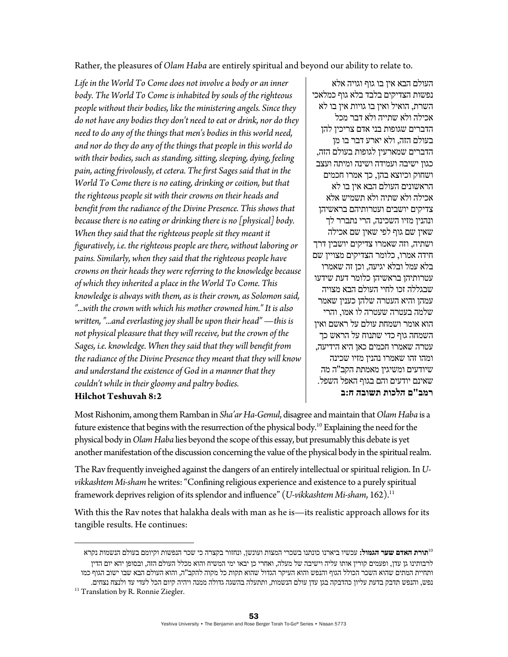Rather, the pleasures of *Olam Haba* are entirely spiritual and beyond our ability to relate to.

*Life in the World To Come does not involve a body or an inner body. The World To Come is inhabited by souls of the righteous people without their bodies, like the ministering angels. Since they do not have any bodies they don't need to eat or drink, nor do they need to do any of the things that men's bodies in this world need, and nor do they do any of the things that people in this world do with their bodies, such as standing, sitting, sleeping, dying, feeling pain, acting frivolously, et cetera. The first Sages said that in the World To Come there is no eating, drinking or coition, but that the righteous people sit with their crowns on their heads and benefit from the radiance of the Divine Presence. This shows that because there is no eating or drinking there is no [physical] body. When they said that the righteous people sit they meant it figuratively, i.e. the righteous people are there, without laboring or pains. Similarly, when they said that the righteous people have crowns on their heads they were referring to the knowledge because of which they inherited a place in the World To Come. This knowledge is always with them, as is their crown, as Solomon said, "...with the crown with which his mother crowned him." It is also written, "...and everlasting joy shall be upon their head" —this is not physical pleasure that they will receive, but the crown of the Sages, i.e. knowledge. When they said that they will benefit from the radiance of the Divine Presence they meant that they will know and understand the existence of God in a manner that they couldn't while in their gloomy and paltry bodies.*  **Hilchot Teshuvah 8:2** 

העולם הבא אין בו גוף וגויה אלא נפשות הצדיקים בלבד בלא גוף כמלאכי השרת, הואיל ואין בו גויות אין בו לא אכילה ולא שתייה ולא דבר מכל הדברים שגופות בני אדם צריכין להן בעולם הזה, ולא יארע דבר בו מן הדברים שמארעין לגופות בעולם הזה, כגון ישיבה ועמידה ושינה ומיתה ועצב ושחוק וכיוצא בהן, כך אמרו חכמים הראשונים העולם הבא אין בו לא אכילה ולא שתיה ולא תשמיש אלא צדיקים יושבים ועטרותיהם בראשיהן ונהנין מזיו השכינה, הרי נתברר לך שאין שם גוף לפי שאין שם אכילה ושתיה, וזה שאמרו צדיקים יושבין דרך חידה אמרו, כלומר הצדיקים מצויין שם בלא עמל ובלא יגיעה, וכן זה שאמרו עטרותיהן בראשיהן כלומר דעת שידעו שבגללה זכו לחיי העולם הבא מצויה עמהן והיא העטרה שלהן כענין שאמר שלמה בעטרה שעטרה לו אמו, והרי הוא אומר ושמחת עולם על ראשם ואין השמחה גוף כדי שתנוח על הראש כך עטרה שאמרו חכמים כאן היא הידיעה, ומהו זהו שאמרו נהנין מזיו שכינה שיודעים ומשיגין מאמתת הקב"ה מה שאינם יודעים והם בגוף האפל השפל. **רמב"ם הלכות תשובה ח:ב**

Most Rishonim, among them Ramban in *Sha'ar Ha-Gemul*, disagree and maintain that *Olam Haba* is a future existence that begins with the resurrection of the physical body.<sup>10</sup> Explaining the need for the physical body in *Olam Haba* lies beyond the scope of this essay, but presumably this debate is yet another manifestation of the discussion concerning the value of the physical body in the spiritual realm.

The Rav frequently inveighed against the dangers of an entirely intellectual or spiritual religion. In *Uvikkashtem Mi-sham* he writes: "Confining religious experience and existence to a purely spiritual framework deprives religion of its splendor and influence" (*U-vikkashtem Mi-sham*, 162).11

With this the Rav notes that halakha deals with man as he is—its realistic approach allows for its tangible results. He continues:

**תורת האדם שער הגמול:** עכשיו ביארנו כונתנו בשכרי המצות ועונשן, ונחזור בקצרה כי שכר הנפשות וקיומם בעולם הנשמות נקרא <sup>10</sup> לרבותינו גן עדן, ופעמים קורין אותו עליה וישיבה של מעלה, ואחרי כן יבאו ימי המשיח והוא מכלל העולם הזה, ובסופן יהא יום הדין ותחיית המתים שהוא השכר הכולל הגוף והנפש והוא העיקר הגדול שהוא תקות כל מקוה להקב"ה, והוא העולם הבא שבו ישוב הגוף כמו

נפש, והנפש תדבק בדעת עליון כהדבקה בגן עדן עולם הנשמות, ותתעלה בהשגה גדולה ממנה ויהיה קיום הכל לעדי עד ולנצח נצחים.<br><sup>11</sup> Translation by R. Ronnie Ziegler.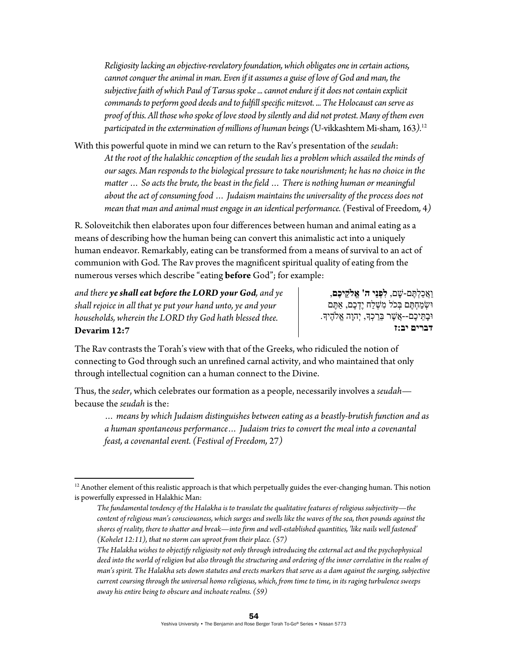*Religiosity lacking an objective-revelatory foundation, which obligates one in certain actions, cannot conquer the animal in man. Even if it assumes a guise of love of God and man, the subjective faith of which Paul of Tarsus spoke ... cannot endure if it does not contain explicit commands to perform good deeds and to fulfill specific mitzvot. ... The Holocaust can serve as proof of this. All those who spoke of love stood by silently and did not protest. Many of them even participated in the extermination of millions of human beings (*U-vikkashtem Mi-sham*,* 163*).*<sup>12</sup>

With this powerful quote in mind we can return to the Rav's presentation of the *seudah*: *At the root of the halakhic conception of the seudah lies a problem which assailed the minds of our sages. Man responds to the biological pressure to take nourishment; he has no choice in the matter … So acts the brute, the beast in the field … There is nothing human or meaningful about the act of consuming food … Judaism maintains the universality of the process does not mean that man and animal must engage in an identical performance. (*Festival of Freedom*,* 4*)* 

R. Soloveitchik then elaborates upon four differences between human and animal eating as a means of describing how the human being can convert this animalistic act into a uniquely human endeavor. Remarkably, eating can be transformed from a means of survival to an act of communion with God. The Rav proves the magnificent spiritual quality of eating from the numerous verses which describe "eating **before** God"; for example:

*and there ye shall eat before the LORD your God, and ye shall rejoice in all that ye put your hand unto, ye and your households, wherein the LORD thy God hath blessed thee.* **Devarim 12:7** 

ַוֲא ַכ ְל ֶתּם- ָשׁם, **ִל ְפנֵי ה' ֱא ֵֹלק ֶיכם**, וּשְׂמַחְתֶּם בְּכֹל מִשְׁלַח יֶדְכֶם, אַתֶּם וּבָתֵּיכֶם--אֲשֶׁר בֵּרַכְךָ, יְהוָה אֱלֹהֶיךָ. **דברים יב:ז**

The Rav contrasts the Torah's view with that of the Greeks, who ridiculed the notion of connecting to God through such an unrefined carnal activity, and who maintained that only through intellectual cognition can a human connect to the Divine.

Thus, the *seder*, which celebrates our formation as a people, necessarily involves a *seudah* because the *seudah* is the:

*… means by which Judaism distinguishes between eating as a beastly-brutish function and as a human spontaneous performance… Judaism tries to convert the meal into a covenantal feast, a covenantal event. (Festival of Freedom,* 27*)* 

 $12$  Another element of this realistic approach is that which perpetually guides the ever-changing human. This notion is powerfully expressed in Halakhic Man:

*The fundamental tendency of the Halakha is to translate the qualitative features of religious subjectivity—the content of religious man's consciousness, which surges and swells like the waves of the sea, then pounds against the shores of reality, there to shatter and break—into firm and well-established quantities, 'like nails well fastened' (Kohelet 12:11), that no storm can uproot from their place. (57)* 

*The Halakha wishes to objectify religiosity not only through introducing the external act and the psychophysical deed into the world of religion but also through the structuring and ordering of the inner correlative in the realm of man's spirit. The Halakha sets down statutes and erects markers that serve as a dam against the surging, subjective current coursing through the universal homo religiosus, which, from time to time, in its raging turbulence sweeps away his entire being to obscure and inchoate realms. (59)*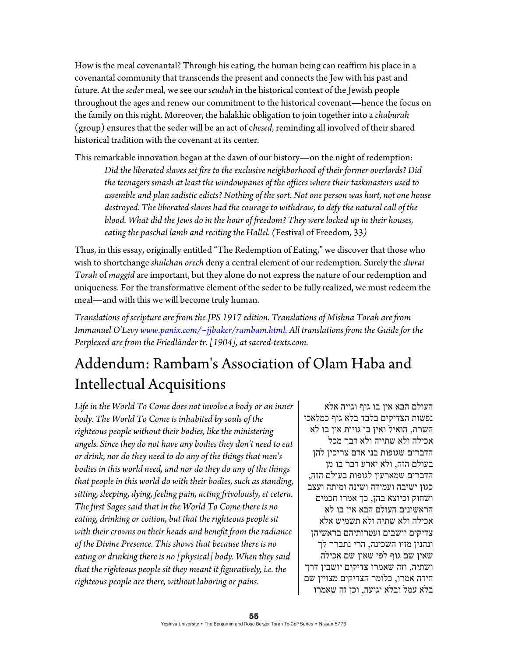How is the meal covenantal? Through his eating, the human being can reaffirm his place in a covenantal community that transcends the present and connects the Jew with his past and future. At the *seder* meal, we see our *seudah* in the historical context of the Jewish people throughout the ages and renew our commitment to the historical covenant—hence the focus on the family on this night. Moreover, the halakhic obligation to join together into a *chaburah* (group) ensures that the seder will be an act of c*hesed*, reminding all involved of their shared historical tradition with the covenant at its center.

This remarkable innovation began at the dawn of our history—on the night of redemption: *Did the liberated slaves set fire to the exclusive neighborhood of their former overlords? Did the teenagers smash at least the windowpanes of the offices where their taskmasters used to assemble and plan sadistic edicts? Nothing of the sort. Not one person was hurt, not one house destroyed. The liberated slaves had the courage to withdraw, to defy the natural call of the blood. What did the Jews do in the hour of freedom? They were locked up in their houses, eating the paschal lamb and reciting the Hallel. (*Festival of Freedom*,* 33*)* 

Thus, in this essay, originally entitled "The Redemption of Eating," we discover that those who wish to shortchange *shulchan orech* deny a central element of our redemption. Surely the *divrai Torah* of *maggid* are important, but they alone do not express the nature of our redemption and uniqueness. For the transformative element of the seder to be fully realized, we must redeem the meal—and with this we will become truly human.

*Translations of scripture are from the JPS 1917 edition. Translations of Mishna Torah are from Immanuel O'Levy www.panix.com/~jjbaker/rambam.html. All translations from the Guide for the Perplexed are from the Friedländer tr. [1904], at sacred-texts.com.* 

# Addendum: Rambam's Association of Olam Haba and Intellectual Acquisitions

*Life in the World To Come does not involve a body or an inner body. The World To Come is inhabited by souls of the righteous people without their bodies, like the ministering angels. Since they do not have any bodies they don't need to eat or drink, nor do they need to do any of the things that men's bodies in this world need, and nor do they do any of the things that people in this world do with their bodies, such as standing, sitting, sleeping, dying, feeling pain, acting frivolously, et cetera. The first Sages said that in the World To Come there is no eating, drinking or coition, but that the righteous people sit with their crowns on their heads and benefit from the radiance of the Divine Presence. This shows that because there is no eating or drinking there is no [physical] body. When they said that the righteous people sit they meant it figuratively, i.e. the righteous people are there, without laboring or pains.* 

העולם הבא אין בו גוף וגויה אלא נפשות הצדיקים בלבד בלא גוף כמלאכי השרת, הואיל ואין בו גויות אין בו לא אכילה ולא שתייה ולא דבר מכל הדברים שגופות בני אדם צריכין להן בעולם הזה, ולא יארע דבר בו מן הדברים שמארעין לגופות בעולם הזה, כגון ישיבה ועמידה ושינה ומיתה ועצב ושחוק וכיוצא בהן, כך אמרו חכמים הראשונים העולם הבא אין בו לא אכילה ולא שתיה ולא תשמיש אלא צדיקים יושבים ועטרותיהם בראשיהן ונהנין מזיו השכינה, הרי נתברר לך שאין שם גוף לפי שאין שם אכילה ושתיה, וזה שאמרו צדיקים יושבין דרך חידה אמרו, כלומר הצדיקים מצויין שם בלא עמל ובלא יגיעה, וכן זה שאמרו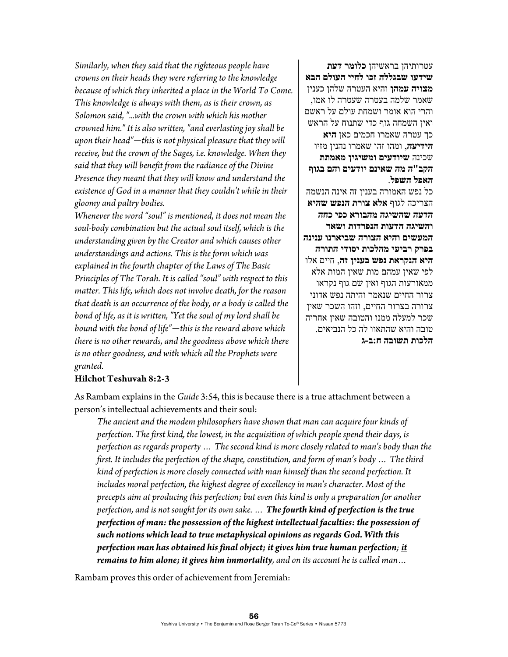*Similarly, when they said that the righteous people have crowns on their heads they were referring to the knowledge because of which they inherited a place in the World To Come. This knowledge is always with them, as is their crown, as Solomon said, "...with the crown with which his mother crowned him." It is also written, "and everlasting joy shall be upon their head"*—*this is not physical pleasure that they will receive, but the crown of the Sages, i.e. knowledge. When they said that they will benefit from the radiance of the Divine Presence they meant that they will know and understand the existence of God in a manner that they couldn't while in their gloomy and paltry bodies.* 

*Whenever the word "soul" is mentioned, it does not mean the soul-body combination but the actual soul itself, which is the understanding given by the Creator and which causes other understandings and actions. This is the form which was explained in the fourth chapter of the Laws of The Basic Principles of The Torah. It is called "soul" with respect to this matter. This life, which does not involve death, for the reason that death is an occurrence of the body, or a body is called the bond of life, as it is written, "Yet the soul of my lord shall be bound with the bond of life"*—*this is the reward above which there is no other rewards, and the goodness above which there is no other goodness, and with which all the Prophets were granted.* 

עטרותיהן בראשיהן **כלומר דעת שידעו שבגללה זכו לחיי העולם הבא מצויה עמהן** והיא העטרה שלהן כענין שאמר שלמה בעטרה שעטרה לו אמו, והרי הוא אומר ושמחת עולם על ראשם ואין השמחה גוף כדי שתנוח על הראש כך עטרה שאמרו חכמים כאן **היא הידיעה**, ומהו זהו שאמרו נהנין מזיו שכינה **שיודעים ומשיגין מאמתת הקב"ה מה שאינם יודעים והם בגוף האפל השפל**.

כל נפש האמורה בענין זה אינה הנשמה הצריכה לגוף **אלא צורת הנפש שהיא הדעה שהשיגה מהבורא כפי כחה והשיגה הדעות הנפרדות ושאר המעשים והיא הצורה שביארנו ענינה בפרק רביעי מהלכות יסודי התורה היא הנקראת נפש בענין זה**, חיים אלו לפי שאין עמהם מות שאין המות אלא ממאורעות הגוף ואין שם גוף נקראו צרור החיים שנאמר והיתה נפש אדוני צרורה בצרור החיים, וזהו השכר שאין שכר למעלה ממנו והטובה שאין אחריה טובה והיא שהתאוו לה כל הנביאים. **הלכות תשובה ח:ב-ג**

#### **Hilchot Teshuvah 8:2-3**

As Rambam explains in the *Guide* 3:54, this is because there is a true attachment between a person's intellectual achievements and their soul:

*The ancient and the modem philosophers have shown that man can acquire four kinds of perfection. The first kind, the lowest, in the acquisition of which people spend their days, is perfection as regards property … The second kind is more closely related to man's body than the first. It includes the perfection of the shape, constitution, and form of man's body … The third kind of perfection is more closely connected with man himself than the second perfection. It includes moral perfection, the highest degree of excellency in man's character. Most of the precepts aim at producing this perfection; but even this kind is only a preparation for another perfection, and is not sought for its own sake. … The fourth kind of perfection is the true perfection of man: the possession of the highest intellectual faculties: the possession of such notions which lead to true metaphysical opinions as regards God. With this perfection man has obtained his final object; it gives him true human perfection; it remains to him alone; it gives him immortality, and on its account he is called man…* 

Rambam proves this order of achievement from Jeremiah: